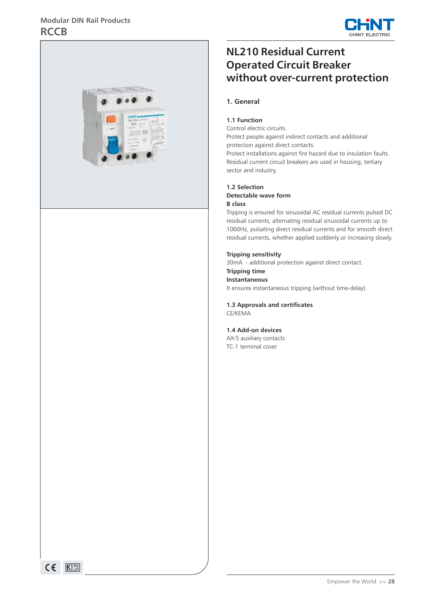## **Modular DIN Rail Products RCCB**





# **NL210 Residual Current Operated Circuit Breaker without over-current protection**

#### **1. General**

#### **1.1 Function**

Control electric circuits.

Protect people against indirect contacts and additional protection against direct contacts.

Protect installations against fire hazard due to insulation faults. Residual current circuit breakers are used in housing, tertiary sector and industry.

# **1.2 Selection**

#### **Detectable wave form B class**

Tripping is ensured for sinusoidal AC residual currents pulsed DC residual currents, alternating residual sinusoidal currents up to 1000Hz, pulsating direct residual currents and for smooth direct residual currents, whether applied suddenly or increasing slowly.

#### **Tripping sensitivity**

30mA - additional protection against direct contact.

#### **Tripping time Instantaneous**

It ensures instantaneous tripping (without time-delay).

**1.3 Approvals and certificates** CE/KEMA

#### **1.4 Add-on devices**

AX-5 auxiliary contacts TC-1 terminal cover